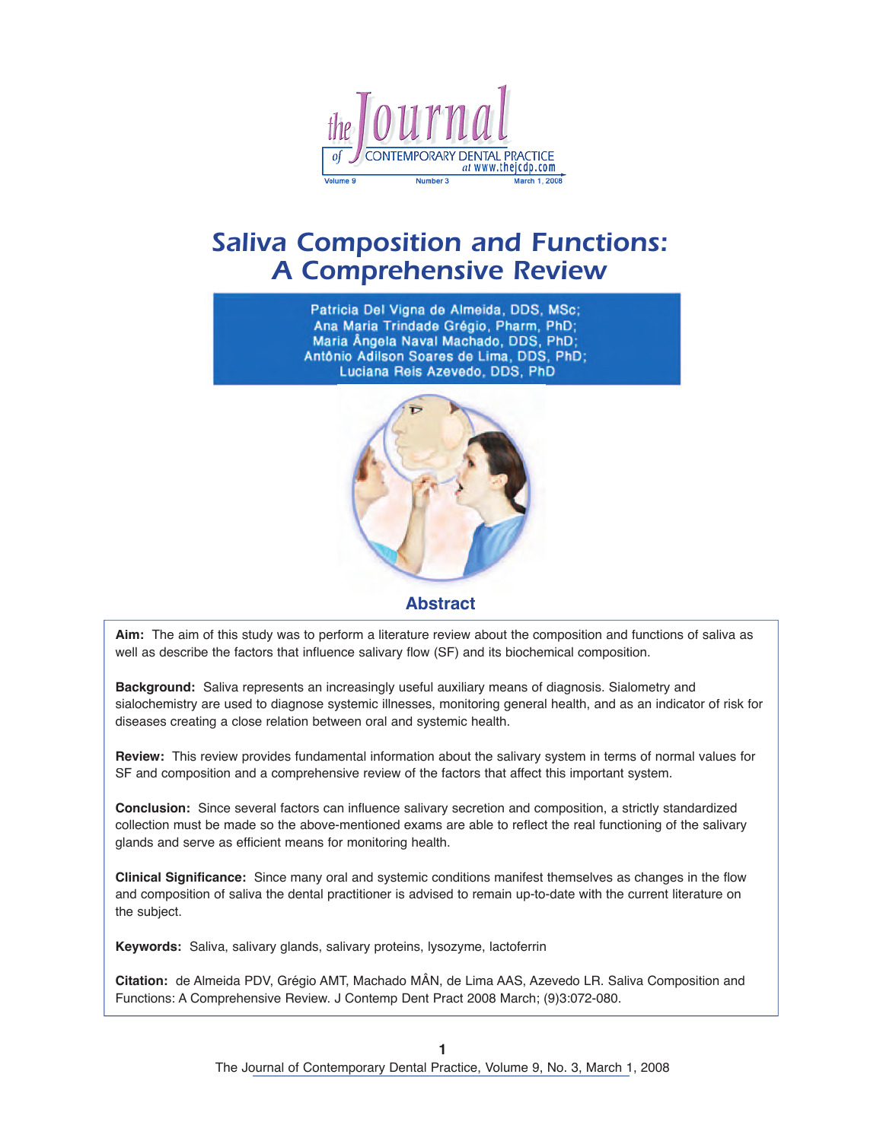

# *Saliva Composition and Functions: A Comprehensive Review*

Patricia Del Vigna de Almeida, DDS, MSc; Ana Maria Trindade Grégio, Pharm, PhD; Maria Ângela Naval Machado, DDS, PhD; Antônio Adilson Soares de Lima, DDS, PhD; Luciana Reis Azevedo, DDS, PhD



**Abstract**

**Aim:** The aim of this study was to perform a literature review about the composition and functions of saliva as well as describe the factors that influence salivary flow (SF) and its biochemical composition.

**Background:** Saliva represents an increasingly useful auxiliary means of diagnosis. Sialometry and sialochemistry are used to diagnose systemic illnesses, monitoring general health, and as an indicator of risk for diseases creating a close relation between oral and systemic health.

**Review:** This review provides fundamental information about the salivary system in terms of normal values for SF and composition and a comprehensive review of the factors that affect this important system.

**Conclusion:** Since several factors can influence salivary secretion and composition, a strictly standardized collection must be made so the above-mentioned exams are able to reflect the real functioning of the salivary glands and serve as efficient means for monitoring health.

**Clinical Significance:** Since many oral and systemic conditions manifest themselves as changes in the flow and composition of saliva the dental practitioner is advised to remain up-to-date with the current literature on the subject.

**Keywords:** Saliva, salivary glands, salivary proteins, lysozyme, lactoferrin

**Citation:** de Almeida PDV, Grégio AMT, Machado MÂN, de Lima AAS, Azevedo LR. Saliva Composition and Functions: A Comprehensive Review. J Contemp Dent Pract 2008 March; (9)3:072-080.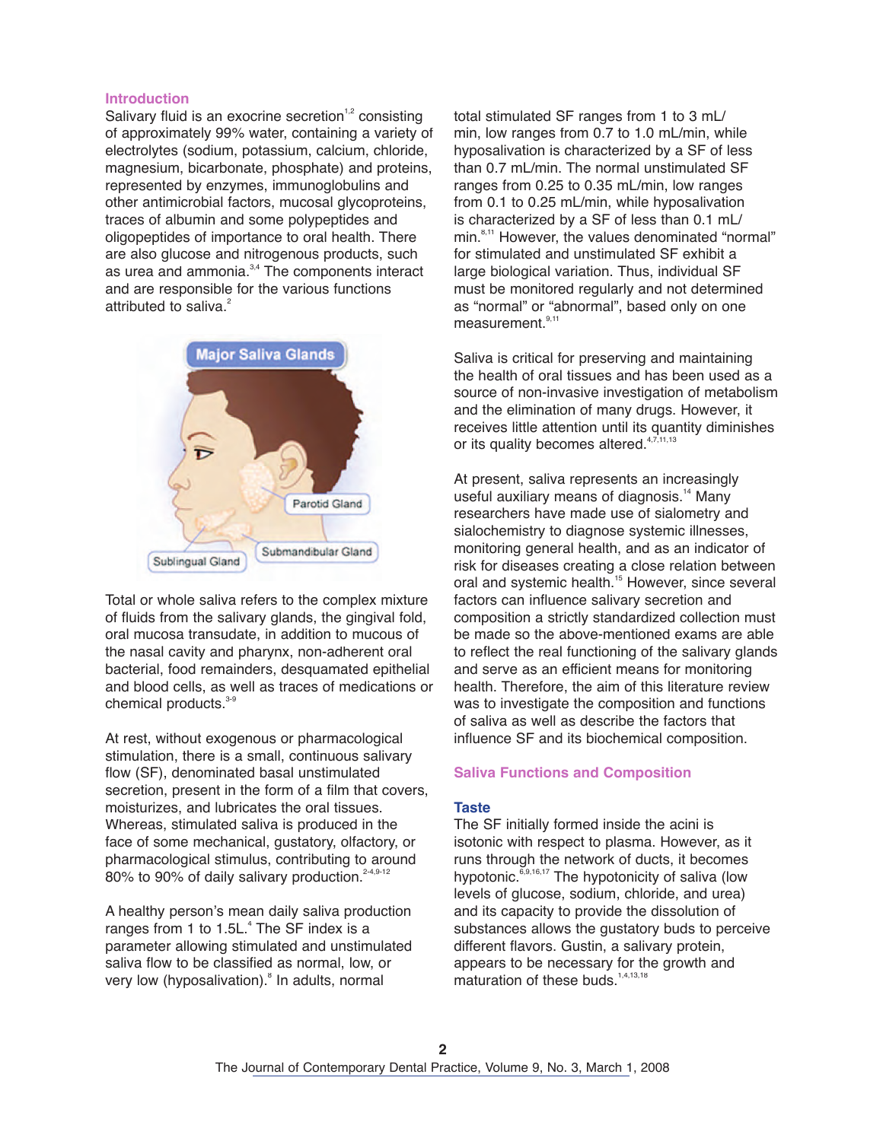#### **Introduction**

Salivary fluid is an exocrine secretion<sup>1,2</sup> consisting of approximately 99% water, containing a variety of electrolytes (sodium, potassium, calcium, chloride, magnesium, bicarbonate, phosphate) and proteins, represented by enzymes, immunoglobulins and other antimicrobial factors, mucosal glycoproteins, traces of albumin and some polypeptides and oligopeptides of importance to oral health. There are also glucose and nitrogenous products, such as urea and ammonia.<sup>3,4</sup> The components interact and are responsible for the various functions attributed to saliva. 2



Total or whole saliva refers to the complex mixture of fluids from the salivary glands, the gingival fold, oral mucosa transudate, in addition to mucous of the nasal cavity and pharynx, non-adherent oral bacterial, food remainders, desquamated epithelial and blood cells, as well as traces of medications or chemical products. 3-9

At rest, without exogenous or pharmacological stimulation, there is a small, continuous salivary flow (SF), denominated basal unstimulated secretion, present in the form of a film that covers, moisturizes, and lubricates the oral tissues. Whereas, stimulated saliva is produced in the face of some mechanical, gustatory, olfactory, or pharmacological stimulus, contributing to around 80% to 90% of daily salivary production.<sup>2-4,9-12</sup>

A healthy person's mean daily saliva production ranges from 1 to 1.5L. 4 The SF index is a parameter allowing stimulated and unstimulated saliva flow to be classified as normal, low, or very low (hyposalivation). 8 In adults, normal

total stimulated SF ranges from 1 to 3 mL/ min, low ranges from 0.7 to 1.0 mL/min, while hyposalivation is characterized by a SF of less than 0.7 mL/min. The normal unstimulated SF ranges from 0.25 to 0.35 mL/min, low ranges from 0.1 to 0.25 mL/min, while hyposalivation is characterized by a SF of less than 0.1 mL/ min. 8,11 However, the values denominated "normal" for stimulated and unstimulated SF exhibit a large biological variation. Thus, individual SF must be monitored regularly and not determined as "normal" or "abnormal", based only on one measurement.<sup>9,11</sup>

Saliva is critical for preserving and maintaining the health of oral tissues and has been used as a source of non-invasive investigation of metabolism and the elimination of many drugs. However, it receives little attention until its quantity diminishes or its quality becomes altered.<sup>4,7,11,13</sup>

At present, saliva represents an increasingly useful auxiliary means of diagnosis. <sup>14</sup> Many researchers have made use of sialometry and sialochemistry to diagnose systemic illnesses, monitoring general health, and as an indicator of risk for diseases creating a close relation between oral and systemic health.<sup>15</sup> However, since several factors can influence salivary secretion and composition a strictly standardized collection must be made so the above-mentioned exams are able to reflect the real functioning of the salivary glands and serve as an efficient means for monitoring health. Therefore, the aim of this literature review was to investigate the composition and functions of saliva as well as describe the factors that influence SF and its biochemical composition.

#### **Saliva Functions and Composition**

#### **Taste**

The SF initially formed inside the acini is isotonic with respect to plasma. However, as it runs through the network of ducts, it becomes hypotonic.<sup>6,9,16,17</sup> The hypotonicity of saliva (low levels of glucose, sodium, chloride, and urea) and its capacity to provide the dissolution of substances allows the gustatory buds to perceive different flavors. Gustin, a salivary protein, appears to be necessary for the growth and maturation of these buds.<sup>1,4,13,18</sup>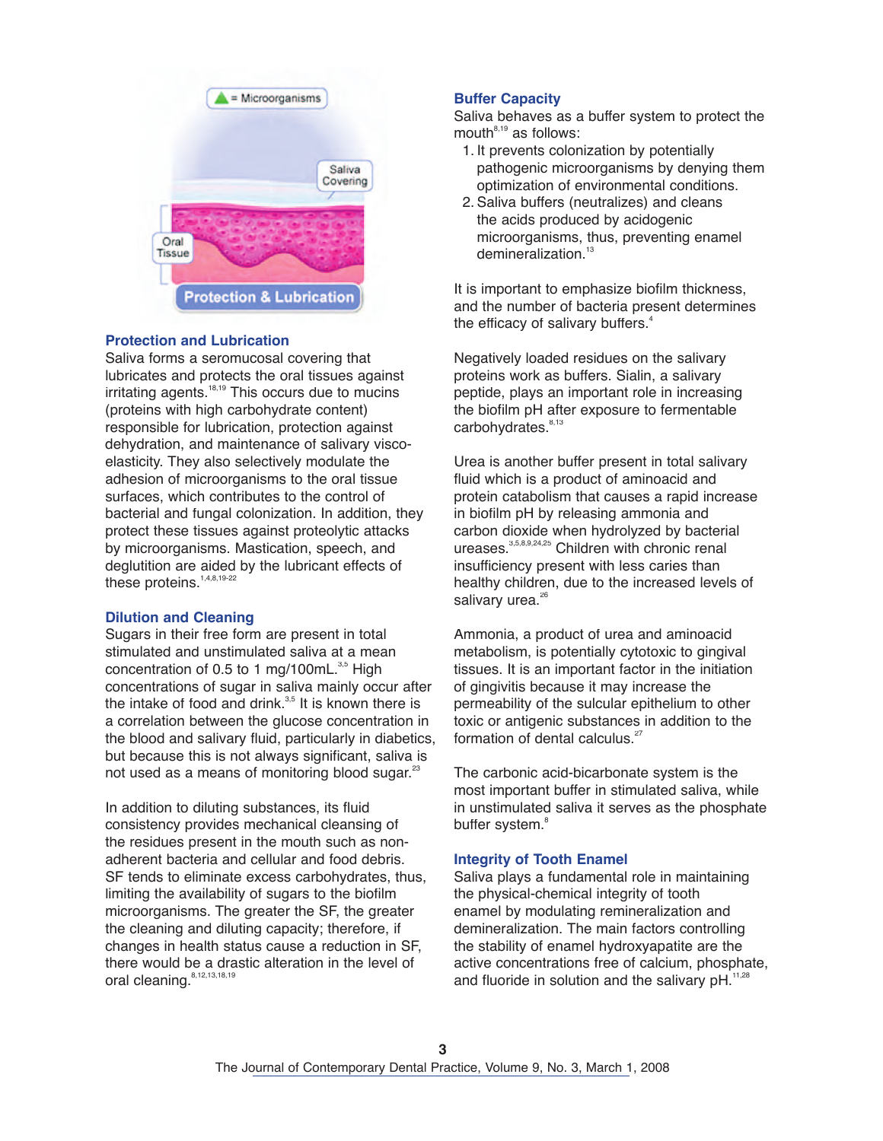

## **Protection and Lubrication**

Saliva forms a seromucosal covering that lubricates and protects the oral tissues against irritating agents.<sup>18,19</sup> This occurs due to mucins (proteins with high carbohydrate content) responsible for lubrication, protection against dehydration, and maintenance of salivary viscoelasticity. They also selectively modulate the adhesion of microorganisms to the oral tissue surfaces, which contributes to the control of bacterial and fungal colonization. In addition, they protect these tissues against proteolytic attacks by microorganisms. Mastication, speech, and deglutition are aided by the lubricant effects of these proteins. 1,4,8,19-22

# **Dilution and Cleaning**

Sugars in their free form are present in total stimulated and unstimulated saliva at a mean concentration of 0.5 to 1 mg/100mL.<sup>3,5</sup> High concentrations of sugar in saliva mainly occur after the intake of food and drink.<sup>3,5</sup> It is known there is a correlation between the glucose concentration in the blood and salivary fluid, particularly in diabetics, but because this is not always significant, saliva is not used as a means of monitoring blood sugar.<sup>23</sup>

In addition to diluting substances, its fluid consistency provides mechanical cleansing of the residues present in the mouth such as nonadherent bacteria and cellular and food debris. SF tends to eliminate excess carbohydrates, thus, limiting the availability of sugars to the biofilm microorganisms. The greater the SF, the greater the cleaning and diluting capacity; therefore, if changes in health status cause a reduction in SF, there would be a drastic alteration in the level of oral cleaning. 8,12,13,18,19

# **Buffer Capacity**

Saliva behaves as a buffer system to protect the mouth $8,19$  as follows:

- 1. It prevents colonization by potentially pathogenic microorganisms by denying them optimization of environmental conditions.
- 2. Saliva buffers (neutralizes) and cleans the acids produced by acidogenic microorganisms, thus, preventing enamel demineralization. 13

It is important to emphasize biofilm thickness, and the number of bacteria present determines the efficacy of salivary buffers. 4

Negatively loaded residues on the salivary proteins work as buffers. Sialin, a salivary peptide, plays an important role in increasing the biofilm pH after exposure to fermentable carbohydrates.<sup>8,13</sup>

Urea is another buffer present in total salivary fluid which is a product of aminoacid and protein catabolism that causes a rapid increase in biofilm pH by releasing ammonia and carbon dioxide when hydrolyzed by bacterial ureases. 3,5,8,9,24,25 Children with chronic renal insufficiency present with less caries than healthy children, due to the increased levels of salivary urea.<sup>26</sup>

Ammonia, a product of urea and aminoacid metabolism, is potentially cytotoxic to gingival tissues. It is an important factor in the initiation of gingivitis because it may increase the permeability of the sulcular epithelium to other toxic or antigenic substances in addition to the formation of dental calculus.<sup>27</sup>

The carbonic acid-bicarbonate system is the most important buffer in stimulated saliva, while in unstimulated saliva it serves as the phosphate buffer system. 8

## **Integrity of Tooth Enamel**

Saliva plays a fundamental role in maintaining the physical-chemical integrity of tooth enamel by modulating remineralization and demineralization. The main factors controlling the stability of enamel hydroxyapatite are the active concentrations free of calcium, phosphate, and fluoride in solution and the salivary  $pH.$ <sup>11,28</sup>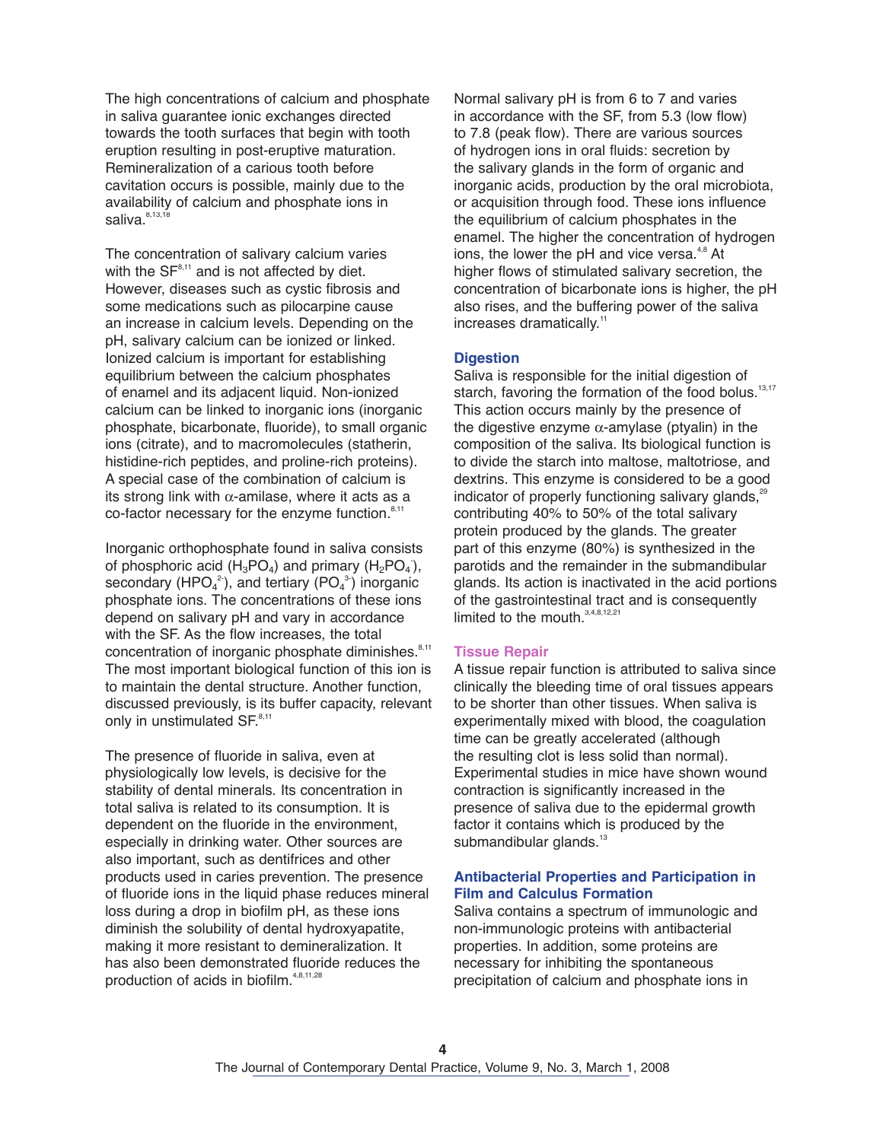The high concentrations of calcium and phosphate in saliva guarantee ionic exchanges directed towards the tooth surfaces that begin with tooth eruption resulting in post-eruptive maturation. Remineralization of a carious tooth before cavitation occurs is possible, mainly due to the availability of calcium and phosphate ions in saliva. $^{\scriptscriptstyle{8,13,18}}$ 

The concentration of salivary calcium varies with the  $SF<sup>8,11</sup>$  and is not affected by diet. However, diseases such as cystic fibrosis and some medications such as pilocarpine cause an increase in calcium levels. Depending on the pH, salivary calcium can be ionized or linked. Ionized calcium is important for establishing equilibrium between the calcium phosphates of enamel and its adjacent liquid. Non-ionized calcium can be linked to inorganic ions (inorganic phosphate, bicarbonate, fluoride), to small organic ions (citrate), and to macromolecules (statherin, histidine-rich peptides, and proline-rich proteins). A special case of the combination of calcium is its strong link with  $\alpha$ -amilase, where it acts as a co-factor necessary for the enzyme function.<sup>8,11</sup>

Inorganic orthophosphate found in saliva consists of phosphoric acid  $(H_3PO_4)$  and primary  $(H_2PO_4)$ , secondary (HPO $_4^2$ ), and tertiary (PO $_4^3$ ) inorganic phosphate ions. The concentrations of these ions depend on salivary pH and vary in accordance with the SF. As the flow increases, the total concentration of inorganic phosphate diminishes.<sup>8,11</sup> The most important biological function of this ion is to maintain the dental structure. Another function, discussed previously, is its buffer capacity, relevant only in unstimulated SF.<sup>8,11</sup>

The presence of fluoride in saliva, even at physiologically low levels, is decisive for the stability of dental minerals. Its concentration in total saliva is related to its consumption. It is dependent on the fluoride in the environment, especially in drinking water. Other sources are also important, such as dentifrices and other products used in caries prevention. The presence of fluoride ions in the liquid phase reduces mineral loss during a drop in biofilm pH, as these ions diminish the solubility of dental hydroxyapatite, making it more resistant to demineralization. It has also been demonstrated fluoride reduces the production of acids in biofilm. 4,8,11,28

Normal salivary pH is from 6 to 7 and varies in accordance with the SF, from 5.3 (low flow) to 7.8 (peak flow). There are various sources of hydrogen ions in oral fluids: secretion by the salivary glands in the form of organic and inorganic acids, production by the oral microbiota, or acquisition through food. These ions influence the equilibrium of calcium phosphates in the enamel. The higher the concentration of hydrogen ions, the lower the pH and vice versa.<sup>4,8</sup> At higher flows of stimulated salivary secretion, the concentration of bicarbonate ions is higher, the pH also rises, and the buffering power of the saliva increases dramatically.<sup>11</sup>

## **Digestion**

Saliva is responsible for the initial digestion of starch, favoring the formation of the food bolus.<sup>13,17</sup> This action occurs mainly by the presence of the digestive enzyme  $\alpha$ -amylase (ptyalin) in the composition of the saliva. Its biological function is to divide the starch into maltose, maltotriose, and dextrins. This enzyme is considered to be a good indicator of properly functioning salivary glands,<sup>29</sup> contributing 40% to 50% of the total salivary protein produced by the glands. The greater part of this enzyme (80%) is synthesized in the parotids and the remainder in the submandibular glands. Its action is inactivated in the acid portions of the gastrointestinal tract and is consequently limited to the mouth.<sup>3,4,8,12,21</sup>

#### **Tissue Repair**

A tissue repair function is attributed to saliva since clinically the bleeding time of oral tissues appears to be shorter than other tissues. When saliva is experimentally mixed with blood, the coagulation time can be greatly accelerated (although the resulting clot is less solid than normal). Experimental studies in mice have shown wound contraction is significantly increased in the presence of saliva due to the epidermal growth factor it contains which is produced by the submandibular glands.<sup>13</sup>

## **Antibacterial Properties and Participation in Film and Calculus Formation**

Saliva contains a spectrum of immunologic and non-immunologic proteins with antibacterial properties. In addition, some proteins are necessary for inhibiting the spontaneous precipitation of calcium and phosphate ions in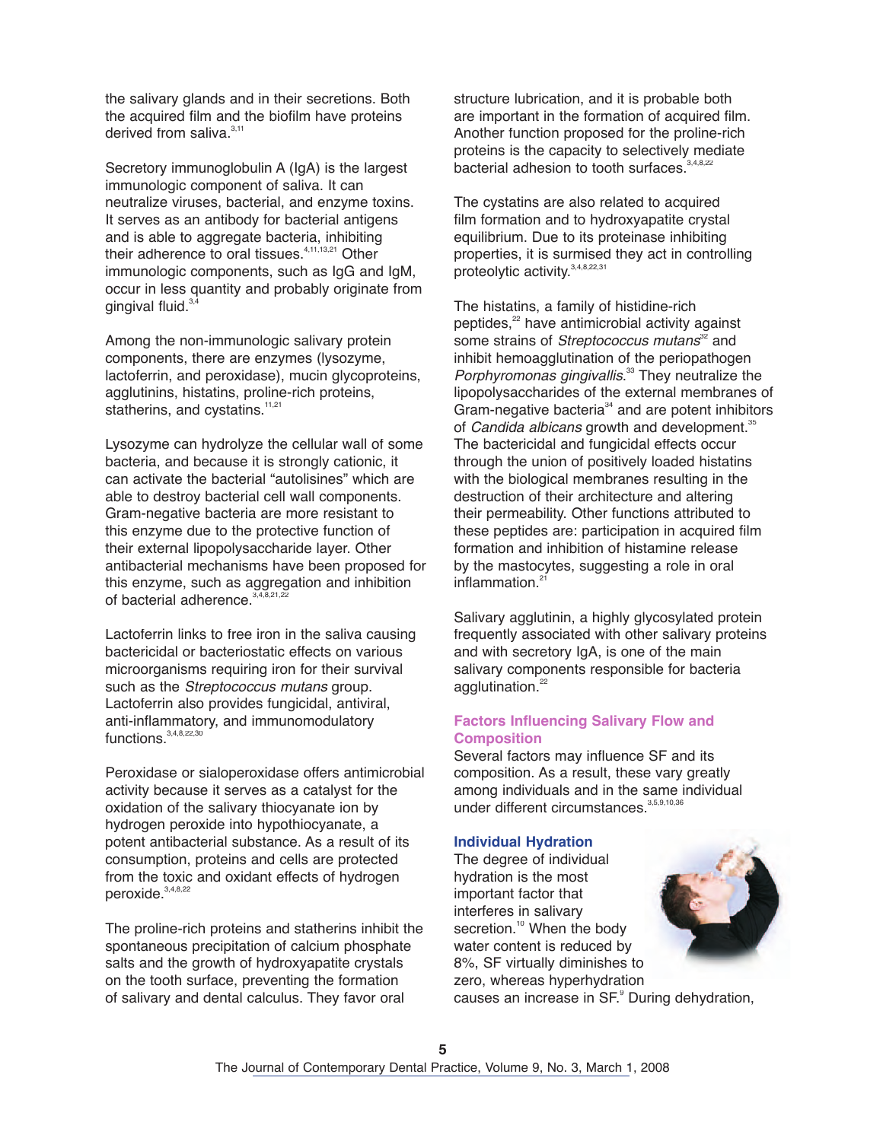the salivary glands and in their secretions. Both the acquired film and the biofilm have proteins derived from saliva.<sup>3,11</sup>

Secretory immunoglobulin A (IgA) is the largest immunologic component of saliva. It can neutralize viruses, bacterial, and enzyme toxins. It serves as an antibody for bacterial antigens and is able to aggregate bacteria, inhibiting their adherence to oral tissues.<sup>4,11,13,21</sup> Other immunologic components, such as IgG and IgM, occur in less quantity and probably originate from gingival fluid.<sup>3,4</sup>

Among the non-immunologic salivary protein components, there are enzymes (lysozyme, lactoferrin, and peroxidase), mucin glycoproteins, agglutinins, histatins, proline-rich proteins, statherins, and cystatins.<sup>11,21</sup>

Lysozyme can hydrolyze the cellular wall of some bacteria, and because it is strongly cationic, it can activate the bacterial "autolisines" which are able to destroy bacterial cell wall components. Gram-negative bacteria are more resistant to this enzyme due to the protective function of their external lipopolysaccharide layer. Other antibacterial mechanisms have been proposed for this enzyme, such as aggregation and inhibition of bacterial adherence.<sup>3,4,8,21,22</sup>

Lactoferrin links to free iron in the saliva causing bactericidal or bacteriostatic effects on various microorganisms requiring iron for their survival such as the Streptococcus mutans group. Lactoferrin also provides fungicidal, antiviral, anti-inflammatory, and immunomodulatory functions.<sup>3,4,8,22,30</sup>

Peroxidase or sialoperoxidase offers antimicrobial activity because it serves as a catalyst for the oxidation of the salivary thiocyanate ion by hydrogen peroxide into hypothiocyanate, a potent antibacterial substance. As a result of its consumption, proteins and cells are protected from the toxic and oxidant effects of hydrogen peroxide. 3,4,8,22

The proline-rich proteins and statherins inhibit the spontaneous precipitation of calcium phosphate salts and the growth of hydroxyapatite crystals on the tooth surface, preventing the formation of salivary and dental calculus. They favor oral

structure lubrication, and it is probable both are important in the formation of acquired film. Another function proposed for the proline-rich proteins is the capacity to selectively mediate bacterial adhesion to tooth surfaces.<sup>3,4,8,22</sup>

The cystatins are also related to acquired film formation and to hydroxyapatite crystal equilibrium. Due to its proteinase inhibiting properties, it is surmised they act in controlling proteolytic activity.<sup>3,4,8,22,31</sup>

The histatins, a family of histidine-rich peptides, <sup>22</sup> have antimicrobial activity against some strains of Streptococcus mutans<sup>32</sup> and inhibit hemoagglutination of the periopathogen Porphyromonas gingivallis.<sup>33</sup> They neutralize the lipopolysaccharides of the external membranes of Gram-negative bacteria $34$  and are potent inhibitors of Candida albicans growth and development.<sup>35</sup> The bactericidal and fungicidal effects occur through the union of positively loaded histatins with the biological membranes resulting in the destruction of their architecture and altering their permeability. Other functions attributed to these peptides are: participation in acquired film formation and inhibition of histamine release by the mastocytes, suggesting a role in oral inflammation. 21

Salivary agglutinin, a highly glycosylated protein frequently associated with other salivary proteins and with secretory IgA, is one of the main salivary components responsible for bacteria agglutination. 22

# **Factors Influencing Salivary Flow and Composition**

Several factors may influence SF and its composition. As a result, these vary greatly among individuals and in the same individual under different circumstances.<sup>3,5,9,10,36</sup>

## **Individual Hydration**

The degree of individual hydration is the most important factor that interferes in salivary secretion.<sup>10</sup> When the body water content is reduced by 8%, SF virtually diminishes to zero, whereas hyperhydration



causes an increase in SF. 9 During dehydration,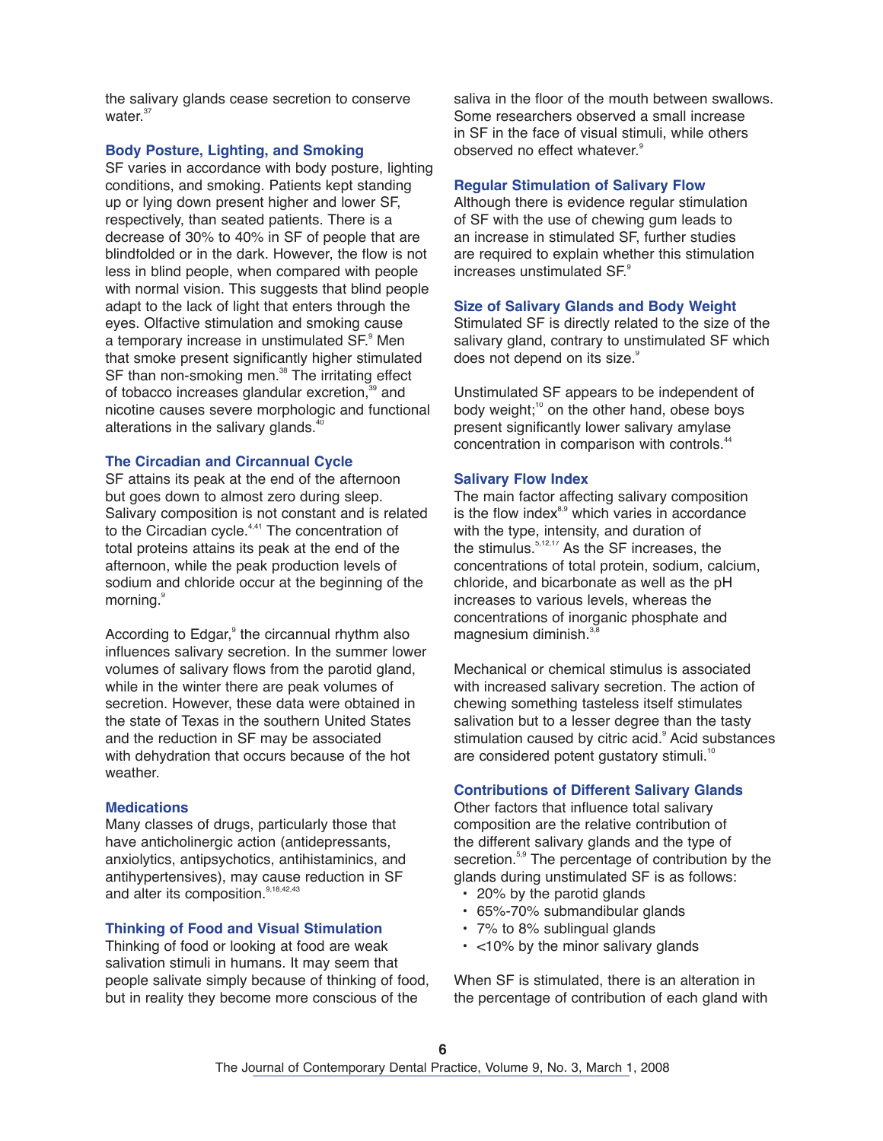the salivary glands cease secretion to conserve water.<sup>37</sup>

#### **Body Posture, Lighting, and Smoking**

SF varies in accordance with body posture, lighting conditions, and smoking. Patients kept standing up or lying down present higher and lower SF, respectively, than seated patients. There is a decrease of 30% to 40% in SF of people that are blindfolded or in the dark. However, the flow is not less in blind people, when compared with people with normal vision. This suggests that blind people adapt to the lack of light that enters through the eyes. Olfactive stimulation and smoking cause a temporary increase in unstimulated SF.<sup>9</sup> Men that smoke present significantly higher stimulated SF than non-smoking men.<sup>38</sup> The irritating effect of tobacco increases glandular excretion,<sup>39</sup> and nicotine causes severe morphologic and functional alterations in the salivary glands.<sup>40</sup>

## **The Circadian and Circannual Cycle**

SF attains its peak at the end of the afternoon but goes down to almost zero during sleep. Salivary composition is not constant and is related to the Circadian cycle.<sup>4,41</sup> The concentration of total proteins attains its peak at the end of the afternoon, while the peak production levels of sodium and chloride occur at the beginning of the morning.<sup>9</sup>

According to Edgar,<sup>9</sup> the circannual rhythm also influences salivary secretion. In the summer lower volumes of salivary flows from the parotid gland, while in the winter there are peak volumes of secretion. However, these data were obtained in the state of Texas in the southern United States and the reduction in SF may be associated with dehydration that occurs because of the hot weather.

#### **Medications**

Many classes of drugs, particularly those that have anticholinergic action (antidepressants, anxiolytics, antipsychotics, antihistaminics, and antihypertensives), may cause reduction in SF and alter its composition.<sup>9,18,42,43</sup>

## **Thinking of Food and Visual Stimulation**

Thinking of food or looking at food are weak salivation stimuli in humans. It may seem that people salivate simply because of thinking of food, but in reality they become more conscious of the

saliva in the floor of the mouth between swallows. Some researchers observed a small increase in SF in the face of visual stimuli, while others observed no effect whatever.<sup>9</sup>

#### **Regular Stimulation of Salivary Flow**

Although there is evidence regular stimulation of SF with the use of chewing gum leads to an increase in stimulated SF, further studies are required to explain whether this stimulation increases unstimulated SF. 9

#### **Size of Salivary Glands and Body Weight**

Stimulated SF is directly related to the size of the salivary gland, contrary to unstimulated SF which does not depend on its size.<sup>9</sup>

Unstimulated SF appears to be independent of body weight;<sup>10</sup> on the other hand, obese boys present significantly lower salivary amylase concentration in comparison with controls. 44

#### **Salivary Flow Index**

The main factor affecting salivary composition is the flow index<sup>8,9</sup> which varies in accordance with the type, intensity, and duration of the stimulus.<sup>5,12,17</sup> As the SF increases, the concentrations of total protein, sodium, calcium, chloride, and bicarbonate as well as the pH increases to various levels, whereas the concentrations of inorganic phosphate and magnesium diminish.<sup>3</sup>

Mechanical or chemical stimulus is associated with increased salivary secretion. The action of chewing something tasteless itself stimulates salivation but to a lesser degree than the tasty stimulation caused by citric acid.<sup>9</sup> Acid substances are considered potent gustatory stimuli.<sup>10</sup>

#### **Contributions of Different Salivary Glands**

Other factors that influence total salivary composition are the relative contribution of the different salivary glands and the type of secretion.<sup>5,9</sup> The percentage of contribution by the glands during unstimulated SF is as follows:

- 20% by the parotid glands
- 65%-70% submandibular glands
- 7% to 8% sublingual glands
- <10% by the minor salivary glands

When SF is stimulated, there is an alteration in the percentage of contribution of each gland with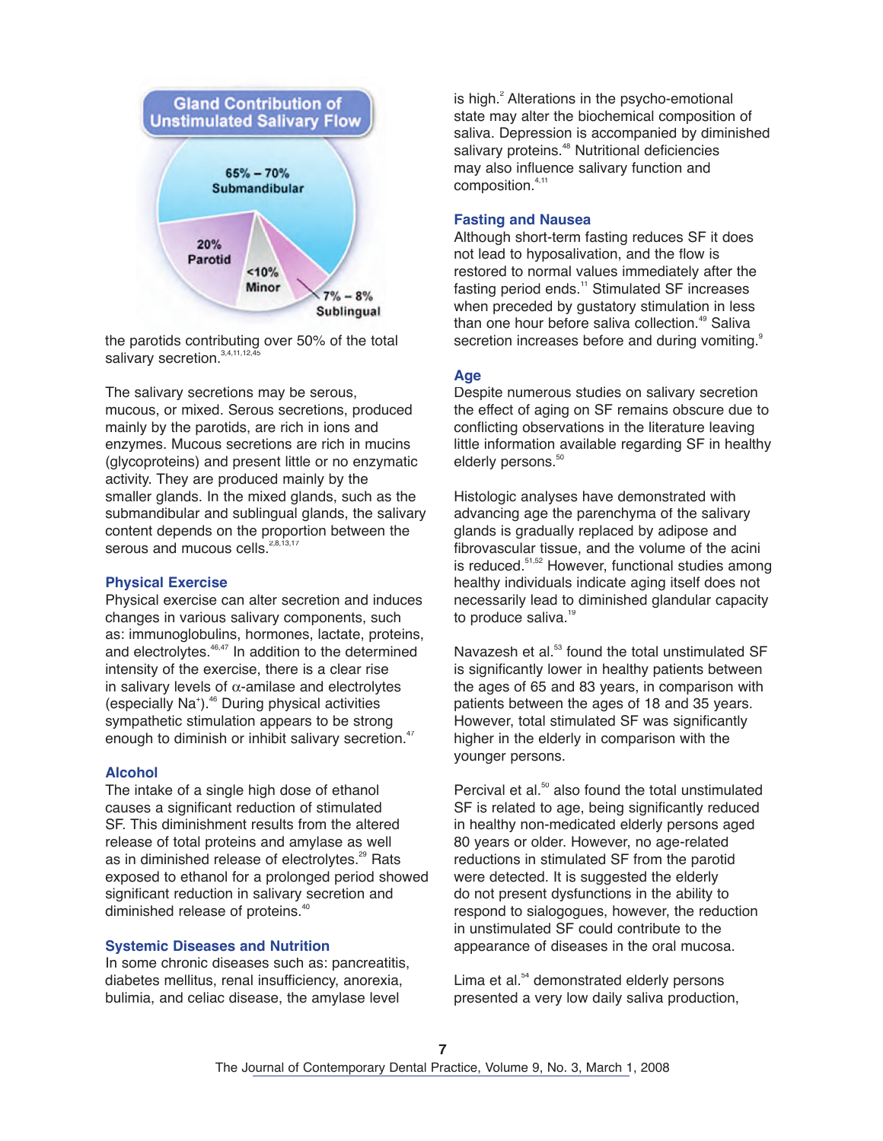

the parotids contributing over 50% of the total salivary secretion.<sup>3,4,11,12,45</sup>

The salivary secretions may be serous, mucous, or mixed. Serous secretions, produced mainly by the parotids, are rich in ions and enzymes. Mucous secretions are rich in mucins (glycoproteins) and present little or no enzymatic activity. They are produced mainly by the smaller glands. In the mixed glands, such as the submandibular and sublingual glands, the salivary content depends on the proportion between the serous and mucous cells.<sup>2,8,13,17</sup>

#### **Physical Exercise**

Physical exercise can alter secretion and induces changes in various salivary components, such as: immunoglobulins, hormones, lactate, proteins, and electrolytes. 46,47 In addition to the determined intensity of the exercise, there is a clear rise in salivary levels of  $\alpha$ -amilase and electrolytes (especially Na<sup>+</sup>).<sup>46</sup> During physical activities sympathetic stimulation appears to be strong enough to diminish or inhibit salivary secretion.<sup>47</sup>

## **Alcohol**

The intake of a single high dose of ethanol causes a significant reduction of stimulated SF. This diminishment results from the altered release of total proteins and amylase as well as in diminished release of electrolytes.<sup>29</sup> Rats exposed to ethanol for a prolonged period showed significant reduction in salivary secretion and diminished release of proteins. 40

#### **Systemic Diseases and Nutrition**

In some chronic diseases such as: pancreatitis, diabetes mellitus, renal insufficiency, anorexia, bulimia, and celiac disease, the amylase level

is high.<sup>2</sup> Alterations in the psycho-emotional state may alter the biochemical composition of saliva. Depression is accompanied by diminished salivary proteins.<sup>48</sup> Nutritional deficiencies may also influence salivary function and composition. 4,11

#### **Fasting and Nausea**

Although short-term fasting reduces SF it does not lead to hyposalivation, and the flow is restored to normal values immediately after the fasting period ends.<sup>11</sup> Stimulated SF increases when preceded by gustatory stimulation in less than one hour before saliva collection. 49 Saliva secretion increases before and during vomiting.<sup>9</sup>

## **Age**

Despite numerous studies on salivary secretion the effect of aging on SF remains obscure due to conflicting observations in the literature leaving little information available regarding SF in healthy elderly persons. 50

Histologic analyses have demonstrated with advancing age the parenchyma of the salivary glands is gradually replaced by adipose and fibrovascular tissue, and the volume of the acini is reduced.<sup>51,52</sup> However, functional studies among healthy individuals indicate aging itself does not necessarily lead to diminished glandular capacity to produce saliva.<sup>19</sup>

Navazesh et al.<sup>53</sup> found the total unstimulated SF is significantly lower in healthy patients between the ages of 65 and 83 years, in comparison with patients between the ages of 18 and 35 years. However, total stimulated SF was significantly higher in the elderly in comparison with the younger persons.

Percival et al.<sup>50</sup> also found the total unstimulated SF is related to age, being significantly reduced in healthy non-medicated elderly persons aged 80 years or older. However, no age-related reductions in stimulated SF from the parotid were detected. It is suggested the elderly do not present dysfunctions in the ability to respond to sialogogues, however, the reduction in unstimulated SF could contribute to the appearance of diseases in the oral mucosa.

Lima et al. <sup>54</sup> demonstrated elderly persons presented a very low daily saliva production,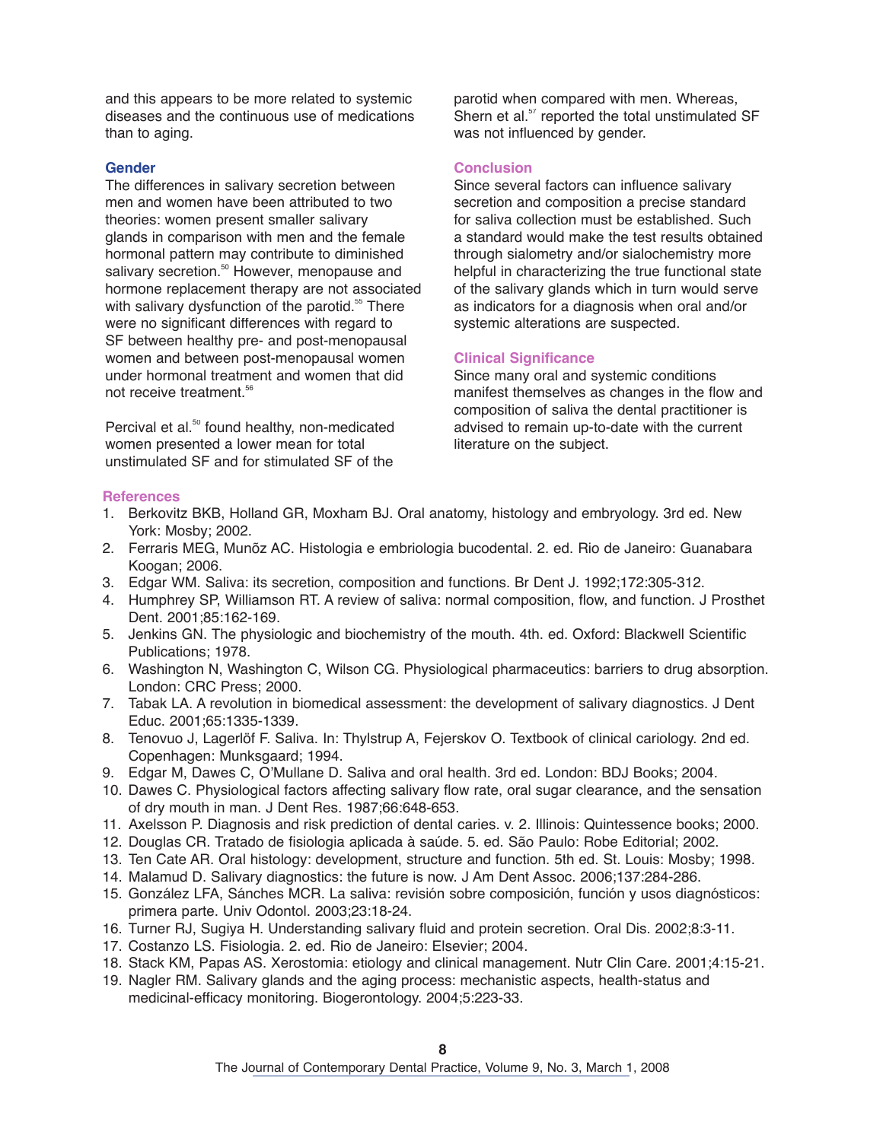and this appears to be more related to systemic diseases and the continuous use of medications than to aging.

## **Gender**

The differences in salivary secretion between men and women have been attributed to two theories: women present smaller salivary glands in comparison with men and the female hormonal pattern may contribute to diminished salivary secretion.<sup>50</sup> However, menopause and hormone replacement therapy are not associated with salivary dysfunction of the parotid.<sup>55</sup> There were no significant differences with regard to SF between healthy pre- and post-menopausal women and between post-menopausal women under hormonal treatment and women that did not receive treatment. 56

Percival et al.<sup>50</sup> found healthy, non-medicated women presented a lower mean for total unstimulated SF and for stimulated SF of the parotid when compared with men. Whereas, Shern et al.<sup>57</sup> reported the total unstimulated SF was not influenced by gender.

# **Conclusion**

Since several factors can influence salivary secretion and composition a precise standard for saliva collection must be established. Such a standard would make the test results obtained through sialometry and/or sialochemistry more helpful in characterizing the true functional state of the salivary glands which in turn would serve as indicators for a diagnosis when oral and/or systemic alterations are suspected.

# **Clinical Significance**

Since many oral and systemic conditions manifest themselves as changes in the flow and composition of saliva the dental practitioner is advised to remain up-to-date with the current literature on the subject.

## **References**

- 1. Berkovitz BKB, Holland GR, Moxham BJ. Oral anatomy, histology and embryology. 3rd ed. New York: Mosby; 2002.
- 2. Ferraris MEG, Munõz AC. Histologia e embriologia bucodental. 2. ed. Rio de Janeiro: Guanabara Koogan; 2006.
- 3. Edgar WM. Saliva: its secretion, composition and functions. Br Dent J. 1992;172:305-312.
- 4. Humphrey SP, Williamson RT. A review of saliva: normal composition, flow, and function. J Prosthet Dent. 2001;85:162-169.
- 5. Jenkins GN. The physiologic and biochemistry of the mouth. 4th. ed. Oxford: Blackwell Scientific Publications; 1978.
- 6. Washington N, Washington C, Wilson CG. Physiological pharmaceutics: barriers to drug absorption. London: CRC Press; 2000.
- 7. Tabak LA. A revolution in biomedical assessment: the development of salivary diagnostics. J Dent Educ. 2001;65:1335-1339.
- 8. Tenovuo J, Lagerlöf F. Saliva. In: Thylstrup A, Fejerskov O. Textbook of clinical cariology. 2nd ed. Copenhagen: Munksgaard; 1994.
- 9. Edgar M, Dawes C, O'Mullane D. Saliva and oral health. 3rd ed. London: BDJ Books; 2004.
- 10. Dawes C. Physiological factors affecting salivary flow rate, oral sugar clearance, and the sensation of dry mouth in man. J Dent Res. 1987;66:648-653.
- 11. Axelsson P. Diagnosis and risk prediction of dental caries. v. 2. Illinois: Quintessence books; 2000.
- 12. Douglas CR. Tratado de fisiologia aplicada à saúde. 5. ed. São Paulo: Robe Editorial; 2002.
- 13. Ten Cate AR. Oral histology: development, structure and function. 5th ed. St. Louis: Mosby; 1998.
- 14. Malamud D. Salivary diagnostics: the future is now. J Am Dent Assoc. 2006;137:284-286.
- 15. González LFA, Sánches MCR. La saliva: revisión sobre composición, función y usos diagnósticos: primera parte. Univ Odontol. 2003;23:18-24.
- 16. Turner RJ, Sugiya H. Understanding salivary fluid and protein secretion. Oral Dis. 2002;8:3-11.
- 17. Costanzo LS. Fisiologia. 2. ed. Rio de Janeiro: Elsevier; 2004.
- 18. Stack KM, Papas AS. Xerostomia: etiology and clinical management. Nutr Clin Care. 2001;4:15-21.
- 19. Nagler RM. Salivary glands and the aging process: mechanistic aspects, health-status and medicinal-efficacy monitoring. Biogerontology. 2004;5:223-33.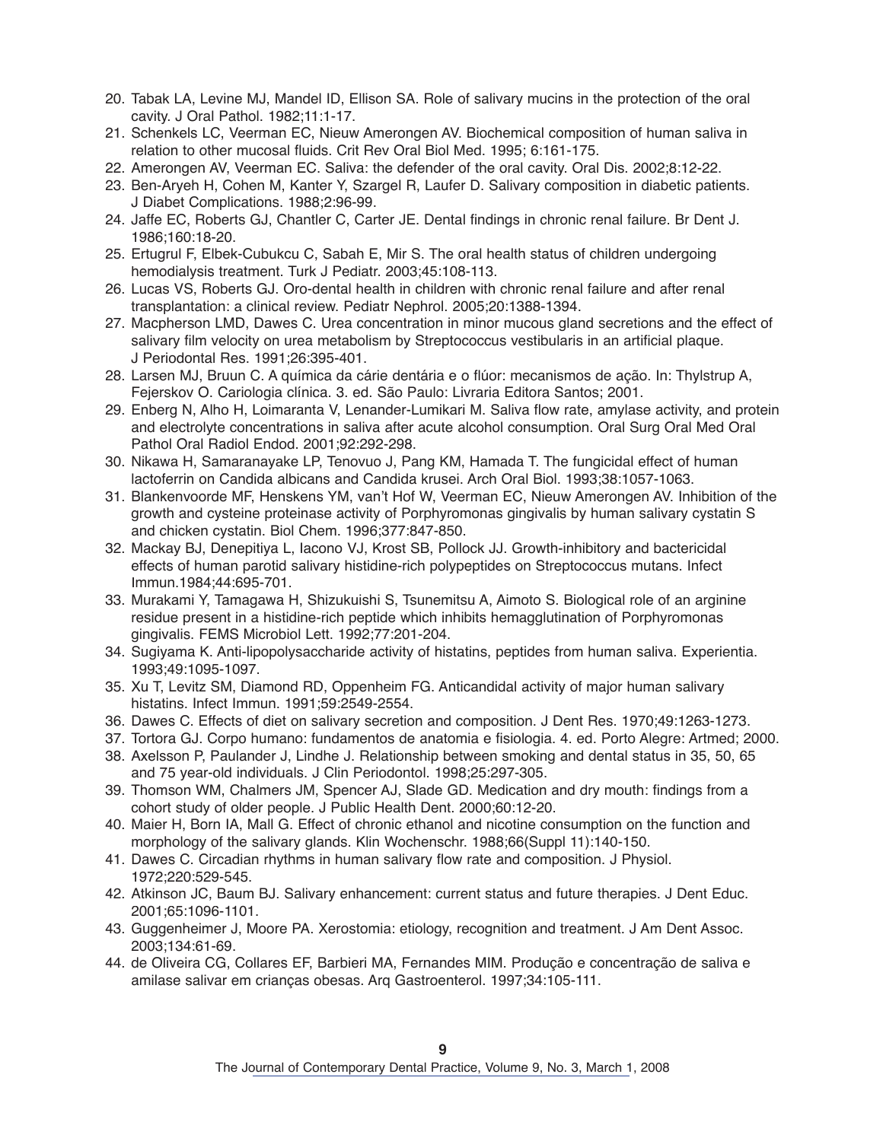- 20. Tabak LA, Levine MJ, Mandel ID, Ellison SA. Role of salivary mucins in the protection of the oral cavity. J Oral Pathol. 1982;11:1-17.
- 21. Schenkels LC, Veerman EC, Nieuw Amerongen AV. Biochemical composition of human saliva in relation to other mucosal fluids. Crit Rev Oral Biol Med. 1995; 6:161-175.
- 22. Amerongen AV, Veerman EC. Saliva: the defender of the oral cavity. Oral Dis. 2002;8:12-22.
- 23. Ben-Aryeh H, Cohen M, Kanter Y, Szargel R, Laufer D. Salivary composition in diabetic patients. J Diabet Complications. 1988;2:96-99.
- 24. Jaffe EC, Roberts GJ, Chantler C, Carter JE. Dental findings in chronic renal failure. Br Dent J. 1986;160:18-20.
- 25. Ertugrul F, Elbek-Cubukcu C, Sabah E, Mir S. The oral health status of children undergoing hemodialysis treatment. Turk J Pediatr. 2003;45:108-113.
- 26. Lucas VS, Roberts GJ. Oro-dental health in children with chronic renal failure and after renal transplantation: a clinical review. Pediatr Nephrol. 2005;20:1388-1394.
- 27. Macpherson LMD, Dawes C. Urea concentration in minor mucous gland secretions and the effect of salivary film velocity on urea metabolism by Streptococcus vestibularis in an artificial plaque. J Periodontal Res. 1991;26:395-401.
- 28. Larsen MJ, Bruun C. A química da cárie dentária e o flúor: mecanismos de ação. In: Thylstrup A, Fejerskov O. Cariologia clínica. 3. ed. São Paulo: Livraria Editora Santos; 2001.
- 29. Enberg N, Alho H, Loimaranta V, Lenander-Lumikari M. Saliva flow rate, amylase activity, and protein and electrolyte concentrations in saliva after acute alcohol consumption. Oral Surg Oral Med Oral Pathol Oral Radiol Endod. 2001;92:292-298.
- 30. Nikawa H, Samaranayake LP, Tenovuo J, Pang KM, Hamada T. The fungicidal effect of human lactoferrin on Candida albicans and Candida krusei. Arch Oral Biol. 1993;38:1057-1063.
- 31. Blankenvoorde MF, Henskens YM, van't Hof W, Veerman EC, Nieuw Amerongen AV. Inhibition of the growth and cysteine proteinase activity of Porphyromonas gingivalis by human salivary cystatin S and chicken cystatin. Biol Chem. 1996;377:847-850.
- 32. Mackay BJ, Denepitiya L, Iacono VJ, Krost SB, Pollock JJ. Growth-inhibitory and bactericidal effects of human parotid salivary histidine-rich polypeptides on Streptococcus mutans. Infect Immun.1984;44:695-701.
- 33. Murakami Y, Tamagawa H, Shizukuishi S, Tsunemitsu A, Aimoto S. Biological role of an arginine residue present in a histidine-rich peptide which inhibits hemagglutination of Porphyromonas gingivalis. FEMS Microbiol Lett. 1992;77:201-204.
- 34. Sugiyama K. Anti-lipopolysaccharide activity of histatins, peptides from human saliva. Experientia. 1993;49:1095-1097.
- 35. Xu T, Levitz SM, Diamond RD, Oppenheim FG. Anticandidal activity of major human salivary histatins. Infect Immun. 1991;59:2549-2554.
- 36. Dawes C. Effects of diet on salivary secretion and composition. J Dent Res. 1970;49:1263-1273.
- 37. Tortora GJ. Corpo humano: fundamentos de anatomia e fisiologia. 4. ed. Porto Alegre: Artmed; 2000.
- 38. Axelsson P, Paulander J, Lindhe J. Relationship between smoking and dental status in 35, 50, 65 and 75 year-old individuals. J Clin Periodontol. 1998;25:297-305.
- 39. Thomson WM, Chalmers JM, Spencer AJ, Slade GD. Medication and dry mouth: findings from a cohort study of older people. J Public Health Dent. 2000;60:12-20.
- 40. Maier H, Born IA, Mall G. Effect of chronic ethanol and nicotine consumption on the function and morphology of the salivary glands. Klin Wochenschr. 1988;66(Suppl 11):140-150.
- 41. Dawes C. Circadian rhythms in human salivary flow rate and composition. J Physiol. 1972;220:529-545.
- 42. Atkinson JC, Baum BJ. Salivary enhancement: current status and future therapies. J Dent Educ. 2001;65:1096-1101.
- 43. Guggenheimer J, Moore PA. Xerostomia: etiology, recognition and treatment. J Am Dent Assoc. 2003;134:61-69.
- 44. de Oliveira CG, Collares EF, Barbieri MA, Fernandes MIM. Produção e concentração de saliva e amilase salivar em crianças obesas. Arq Gastroenterol. 1997;34:105-111.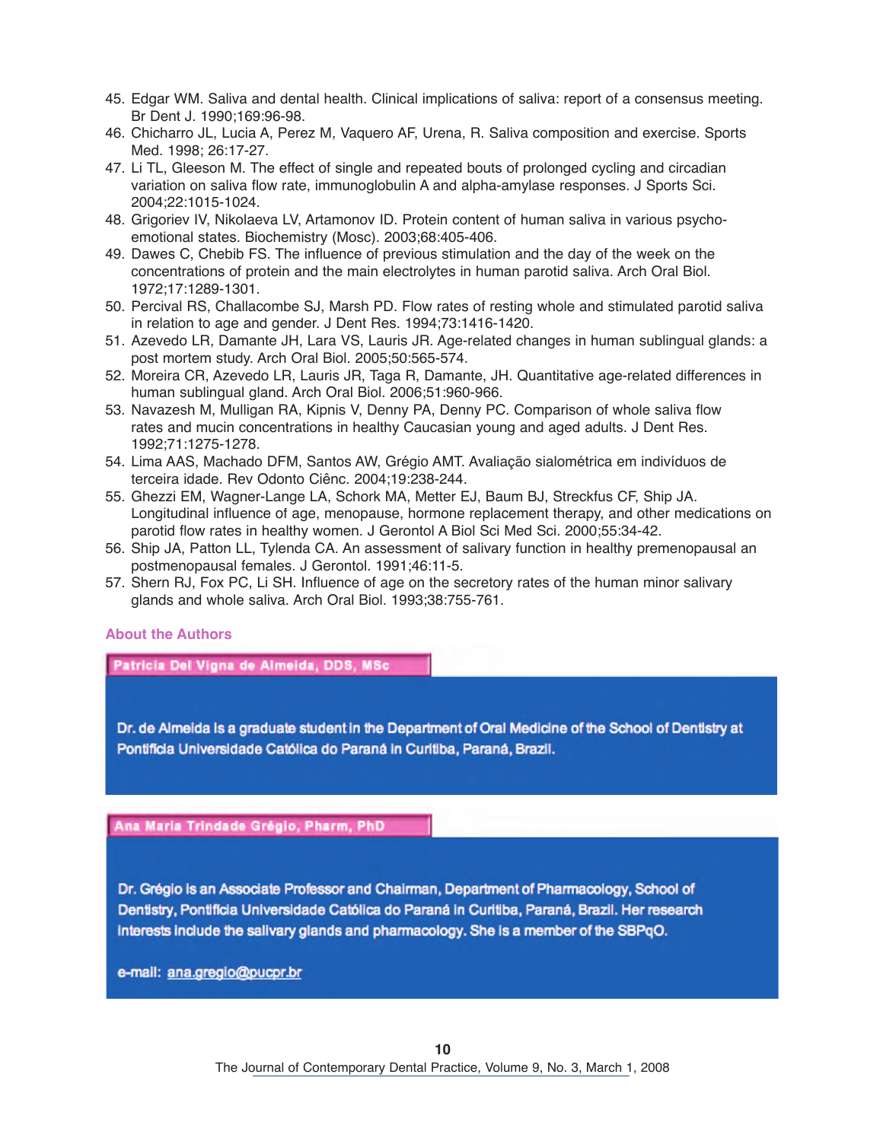- 45. Edgar WM. Saliva and dental health. Clinical implications of saliva: report of a consensus meeting. Br Dent J. 1990;169:96-98.
- 46. Chicharro JL, Lucia A, Perez M, Vaquero AF, Urena, R. Saliva composition and exercise. Sports Med. 1998; 26:17-27.
- 47. Li TL, Gleeson M. The effect of single and repeated bouts of prolonged cycling and circadian variation on saliva flow rate, immunoglobulin A and alpha-amylase responses. J Sports Sci. 2004;22:1015-1024.
- 48. Grigoriev IV, Nikolaeva LV, Artamonov ID. Protein content of human saliva in various psychoemotional states. Biochemistry (Mosc). 2003;68:405-406.
- 49. Dawes C, Chebib FS. The influence of previous stimulation and the day of the week on the concentrations of protein and the main electrolytes in human parotid saliva. Arch Oral Biol. 1972;17:1289-1301.
- 50. Percival RS, Challacombe SJ, Marsh PD. Flow rates of resting whole and stimulated parotid saliva in relation to age and gender. J Dent Res. 1994;73:1416-1420.
- 51. Azevedo LR, Damante JH, Lara VS, Lauris JR. Age-related changes in human sublingual glands: a post mortem study. Arch Oral Biol. 2005;50:565-574.
- 52. Moreira CR, Azevedo LR, Lauris JR, Taga R, Damante, JH. Quantitative age-related differences in human sublingual gland. Arch Oral Biol. 2006;51:960-966.
- 53. Navazesh M, Mulligan RA, Kipnis V, Denny PA, Denny PC. Comparison of whole saliva flow rates and mucin concentrations in healthy Caucasian young and aged adults. J Dent Res. 1992;71:1275-1278.
- 54. Lima AAS, Machado DFM, Santos AW, Grégio AMT. Avaliação sialométrica em indivíduos de terceira idade. Rev Odonto Ciênc. 2004;19:238-244.
- 55. Ghezzi EM, Wagner-Lange LA, Schork MA, Metter EJ, Baum BJ, Streckfus CF, Ship JA. Longitudinal influence of age, menopause, hormone replacement therapy, and other medications on parotid flow rates in healthy women. J Gerontol A Biol Sci Med Sci. 2000;55:34-42.
- 56. Ship JA, Patton LL, Tylenda CA. An assessment of salivary function in healthy premenopausal an postmenopausal females. J Gerontol. 1991;46:11-5.
- 57. Shern RJ, Fox PC, Li SH. Influence of age on the secretory rates of the human minor salivary glands and whole saliva. Arch Oral Biol. 1993;38:755-761.

# **About the Authors**

Patricia Del Vigna de Almeida, DDS, MSc

Dr. de Almeida is a graduate student in the Department of Oral Medicine of the School of Dentistry at Pontificia Universidade Católica do Paraná in Curitiba, Paraná, Brazil.

Ana Maria Trindade Grégio, Pharm, PhD

Dr. Grégio is an Associate Professor and Chairman, Department of Pharmacology, School of Dentistry, Pontifícia Universidade Católica do Paraná in Curitiba, Paraná, Brazil. Her research interests include the salivary glands and pharmacology. She is a member of the SBPqO.

e-mail: ana.gregio@pucpr.br